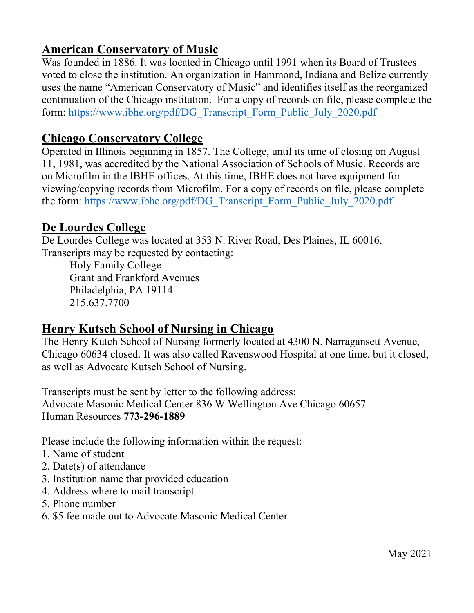# **American Conservatory of Music**

Was founded in 1886. It was located in Chicago until 1991 when its Board of Trustees voted to close the institution. An organization in Hammond, Indiana and Belize currently uses the name "American Conservatory of Music" and identifies itself as the reorganized continuation of the Chicago institution. For a copy of records on file, please complete the form: [https://www.ibhe.org/pdf/DG\\_Transcript\\_Form\\_Public\\_July\\_2020.pdf](https://www.ibhe.org/pdf/DG_Transcript_Form_Public_July_2020.pdf)

#### **Chicago Conservatory College**

Operated in Illinois beginning in 1857. The College, until its time of closing on August 11, 1981, was accredited by the National Association of Schools of Music. Records are on Microfilm in the IBHE offices. At this time, IBHE does not have equipment for viewing/copying records from Microfilm. For a copy of records on file, please complete the form: [https://www.ibhe.org/pdf/DG\\_Transcript\\_Form\\_Public\\_July\\_2020.pdf](https://www.ibhe.org/pdf/DG_Transcript_Form_Public_July_2020.pdf)

### **De Lourdes College**

De Lourdes College was located at 353 N. River Road, Des Plaines, IL 60016. Transcripts may be requested by contacting:

Holy Family College Grant and Frankford Avenues Philadelphia, PA 19114 215.637.7700

### **Henry Kutsch School of Nursing in Chicago**

The Henry Kutch School of Nursing formerly located at 4300 N. Narragansett Avenue, Chicago 60634 closed. It was also called Ravenswood Hospital at one time, but it closed, as well as Advocate Kutsch School of Nursing.

Transcripts must be sent by letter to the following address: Advocate Masonic Medical Center 836 W Wellington Ave Chicago 60657 Human Resources **773-296-1889**

Please include the following information within the request:

- 1. Name of student
- 2. Date(s) of attendance
- 3. Institution name that provided education
- 4. Address where to mail transcript
- 5. Phone number
- 6. \$5 fee made out to Advocate Masonic Medical Center